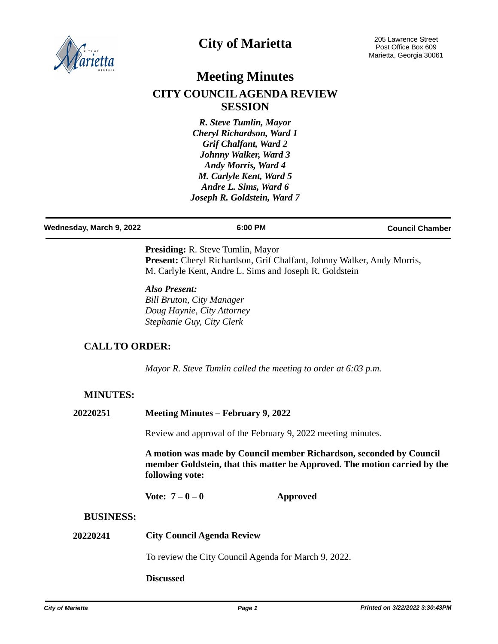

# **City of Marietta**

# **Meeting Minutes CITY COUNCIL AGENDA REVIEW SESSION**

*R. Steve Tumlin, Mayor Cheryl Richardson, Ward 1 Grif Chalfant, Ward 2 Johnny Walker, Ward 3 Andy Morris, Ward 4 M. Carlyle Kent, Ward 5 Andre L. Sims, Ward 6 Joseph R. Goldstein, Ward 7*

| Wednesday, March 9, 2022 | 6:00 PM | <b>Council Chamber</b> |
|--------------------------|---------|------------------------|
|                          |         |                        |

**Presiding:** R. Steve Tumlin, Mayor Present: Cheryl Richardson, Grif Chalfant, Johnny Walker, Andy Morris, M. Carlyle Kent, Andre L. Sims and Joseph R. Goldstein

#### *Also Present: Bill Bruton, City Manager Doug Haynie, City Attorney Stephanie Guy, City Clerk*

## **CALL TO ORDER:**

*Mayor R. Steve Tumlin called the meeting to order at 6:03 p.m.*

## **MINUTES:**

| 20220251 | Meeting Minutes – February 9, 2022 |
|----------|------------------------------------|
|          |                                    |

Review and approval of the February 9, 2022 meeting minutes.

**A motion was made by Council member Richardson, seconded by Council member Goldstein, that this matter be Approved. The motion carried by the following vote:**

**Vote: 7 – 0 – 0 Approved**

#### **BUSINESS:**

#### **20220241 City Council Agenda Review**

To review the City Council Agenda for March 9, 2022.

#### **Discussed**